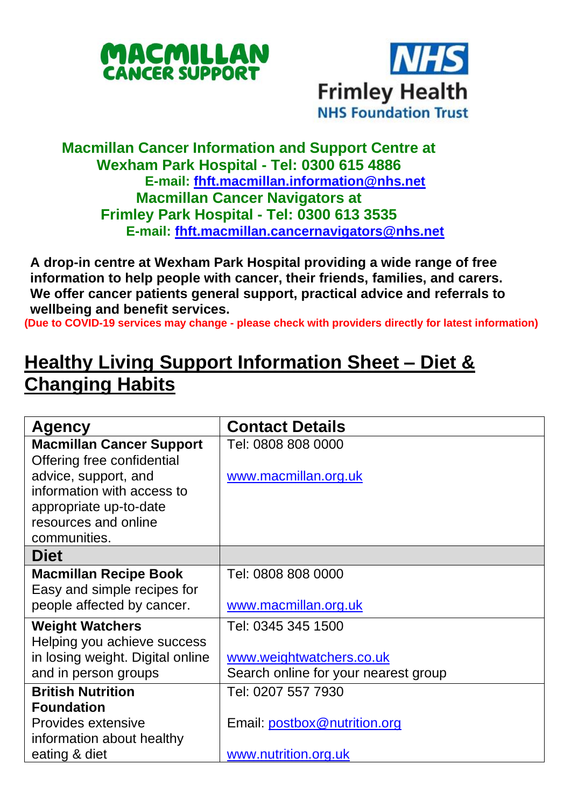



## **Macmillan Cancer Information and Support Centre at Wexham Park Hospital - Tel: 0300 615 4886 E-mail: [fhft.macmillan.information@nhs.net](mailto:fhft.macmillan.information@nhs.net) Macmillan Cancer Navigators at Frimley Park Hospital - Tel: 0300 613 3535 E-mail: [fhft.macmillan.cancernavigators@nhs.net](mailto:fhft.macmillan.cancernavigators@nhs.net)**

**A drop-in centre at Wexham Park Hospital providing a wide range of free information to help people with cancer, their friends, families, and carers. We offer cancer patients general support, practical advice and referrals to wellbeing and benefit services.**

**(Due to COVID-19 services may change - please check with providers directly for latest information)**

## **Healthy Living Support Information Sheet – Diet & Changing Habits**

| Agency                                                        | <b>Contact Details</b>               |
|---------------------------------------------------------------|--------------------------------------|
| <b>Macmillan Cancer Support</b><br>Offering free confidential | Tel: 0808 808 0000                   |
| advice, support, and                                          | www.macmillan.org.uk                 |
| information with access to                                    |                                      |
| appropriate up-to-date                                        |                                      |
| resources and online                                          |                                      |
| communities.                                                  |                                      |
| <b>Diet</b>                                                   |                                      |
| <b>Macmillan Recipe Book</b>                                  | Tel: 0808 808 0000                   |
| Easy and simple recipes for                                   |                                      |
| people affected by cancer.                                    | www.macmillan.org.uk                 |
| <b>Weight Watchers</b>                                        | Tel: 0345 345 1500                   |
| Helping you achieve success                                   |                                      |
| in losing weight. Digital online                              | www.weightwatchers.co.uk             |
| and in person groups                                          | Search online for your nearest group |
| <b>British Nutrition</b>                                      | Tel: 0207 557 7930                   |
| <b>Foundation</b>                                             |                                      |
| Provides extensive                                            | Email: postbox@nutrition.org         |
| information about healthy                                     |                                      |
| eating & diet                                                 | www.nutrition.org.uk                 |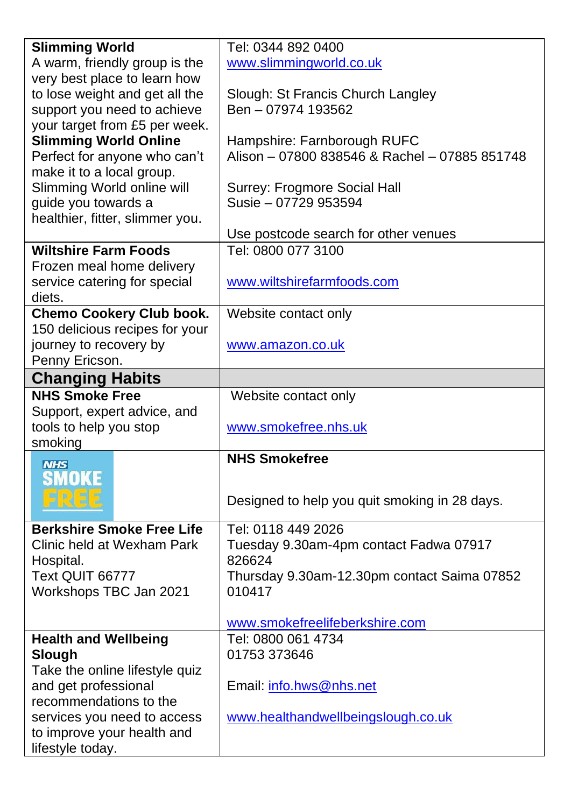| <b>Slimming World</b>                          | Tel: 0344 892 0400                            |  |  |
|------------------------------------------------|-----------------------------------------------|--|--|
| A warm, friendly group is the                  | www.slimmingworld.co.uk                       |  |  |
| very best place to learn how                   |                                               |  |  |
| to lose weight and get all the                 | Slough: St Francis Church Langley             |  |  |
| support you need to achieve                    | Ben - 07974 193562                            |  |  |
| your target from £5 per week.                  |                                               |  |  |
| <b>Slimming World Online</b>                   | Hampshire: Farnborough RUFC                   |  |  |
| Perfect for anyone who can't                   | Alison - 07800 838546 & Rachel - 07885 851748 |  |  |
| make it to a local group.                      |                                               |  |  |
| Slimming World online will                     | Surrey: Frogmore Social Hall                  |  |  |
| guide you towards a                            | Susie - 07729 953594                          |  |  |
| healthier, fitter, slimmer you.                |                                               |  |  |
|                                                | Use postcode search for other venues          |  |  |
| <b>Wiltshire Farm Foods</b>                    | Tel: 0800 077 3100                            |  |  |
| Frozen meal home delivery                      |                                               |  |  |
| service catering for special                   | www.wiltshirefarmfoods.com                    |  |  |
| diets.                                         |                                               |  |  |
| <b>Chemo Cookery Club book.</b>                | Website contact only                          |  |  |
| 150 delicious recipes for your                 |                                               |  |  |
| journey to recovery by                         | www.amazon.co.uk                              |  |  |
| Penny Ericson.                                 |                                               |  |  |
| <b>Changing Habits</b>                         |                                               |  |  |
| <b>NHS Smoke Free</b>                          | Website contact only                          |  |  |
| Support, expert advice, and                    |                                               |  |  |
| tools to help you stop                         | www.smokefree.nhs.uk                          |  |  |
| smoking                                        |                                               |  |  |
| <b>NHS</b>                                     | <b>NHS Smokefree</b>                          |  |  |
| <b>SMOKE</b>                                   |                                               |  |  |
|                                                | Designed to help you quit smoking in 28 days. |  |  |
|                                                |                                               |  |  |
| <b>Berkshire Smoke Free Life</b>               | Tel: 0118 449 2026                            |  |  |
| Clinic held at Wexham Park                     | Tuesday 9.30am-4pm contact Fadwa 07917        |  |  |
| Hospital.                                      | 826624                                        |  |  |
| Text QUIT 66777                                | Thursday 9.30am-12.30pm contact Saima 07852   |  |  |
| Workshops TBC Jan 2021                         | 010417                                        |  |  |
|                                                |                                               |  |  |
|                                                | www.smokefreelifeberkshire.com                |  |  |
| <b>Health and Wellbeing</b>                    | Tel: 0800 061 4734                            |  |  |
| Slough                                         | 01753 373646                                  |  |  |
| Take the online lifestyle quiz                 |                                               |  |  |
|                                                |                                               |  |  |
| and get professional                           | Email: info.hws@nhs.net                       |  |  |
| recommendations to the                         |                                               |  |  |
| services you need to access                    | www.healthandwellbeingslough.co.uk            |  |  |
| to improve your health and<br>lifestyle today. |                                               |  |  |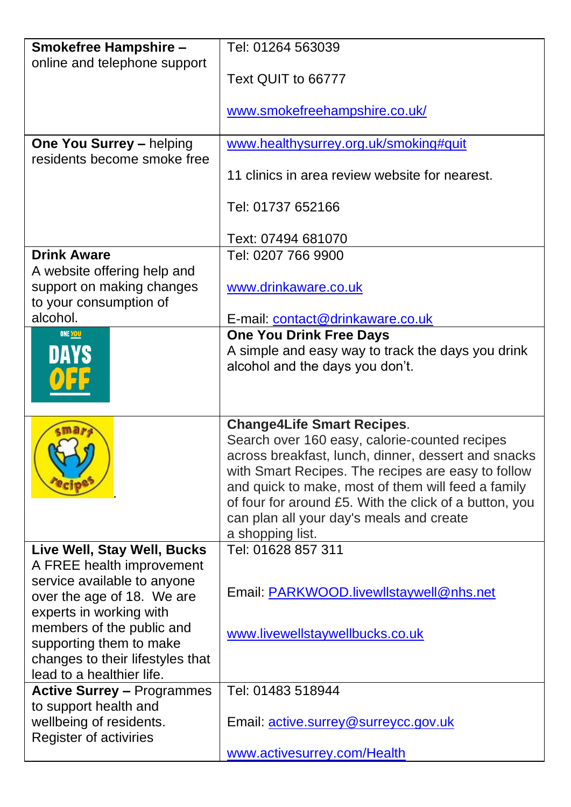| Smokefree Hampshire -                                                                                                 | Tel: 01264 563039                                                                                                                                                                                                                                                                                                                                                               |
|-----------------------------------------------------------------------------------------------------------------------|---------------------------------------------------------------------------------------------------------------------------------------------------------------------------------------------------------------------------------------------------------------------------------------------------------------------------------------------------------------------------------|
| online and telephone support                                                                                          | Text QUIT to 66777                                                                                                                                                                                                                                                                                                                                                              |
|                                                                                                                       | www.smokefreehampshire.co.uk/                                                                                                                                                                                                                                                                                                                                                   |
| One You Surrey - helping                                                                                              | www.healthysurrey.org.uk/smoking#quit                                                                                                                                                                                                                                                                                                                                           |
| residents become smoke free                                                                                           | 11 clinics in area review website for nearest.                                                                                                                                                                                                                                                                                                                                  |
|                                                                                                                       | Tel: 01737 652166                                                                                                                                                                                                                                                                                                                                                               |
|                                                                                                                       | Text: 07494 681070                                                                                                                                                                                                                                                                                                                                                              |
| <b>Drink Aware</b>                                                                                                    | Tel: 0207 766 9900                                                                                                                                                                                                                                                                                                                                                              |
| A website offering help and<br>support on making changes<br>to your consumption of                                    | www.drinkaware.co.uk                                                                                                                                                                                                                                                                                                                                                            |
| alcohol.                                                                                                              | E-mail: contact@drinkaware.co.uk                                                                                                                                                                                                                                                                                                                                                |
| <b>ONE YOU</b>                                                                                                        | <b>One You Drink Free Days</b><br>A simple and easy way to track the days you drink<br>alcohol and the days you don't.                                                                                                                                                                                                                                                          |
|                                                                                                                       | <b>Change4Life Smart Recipes.</b><br>Search over 160 easy, calorie-counted recipes<br>across breakfast, lunch, dinner, dessert and snacks<br>with Smart Recipes. The recipes are easy to follow<br>and quick to make, most of them will feed a family<br>of four for around £5. With the click of a button, you<br>can plan all your day's meals and create<br>a shopping list. |
| Live Well, Stay Well, Bucks                                                                                           | Tel: 01628 857 311                                                                                                                                                                                                                                                                                                                                                              |
| A FREE health improvement<br>service available to anyone<br>over the age of 18. We are<br>experts in working with     | Email: PARKWOOD.livewllstaywell@nhs.net                                                                                                                                                                                                                                                                                                                                         |
| members of the public and<br>supporting them to make<br>changes to their lifestyles that<br>lead to a healthier life. | www.livewellstaywellbucks.co.uk                                                                                                                                                                                                                                                                                                                                                 |
| <b>Active Surrey - Programmes</b>                                                                                     | Tel: 01483 518944                                                                                                                                                                                                                                                                                                                                                               |
| to support health and<br>wellbeing of residents.<br>Register of activiries                                            | Email: active.surrey@surreycc.gov.uk                                                                                                                                                                                                                                                                                                                                            |
|                                                                                                                       | www.activesurrey.com/Health                                                                                                                                                                                                                                                                                                                                                     |